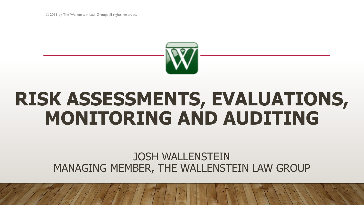© 2019 by The Wallenstein Law Group; all rights reserved.



# **RISK ASSESSMENTS, EVALUATIONS, MONITORING AND AUDITING**

# JOSH WALLENSTEIN MANAGING MEMBER, THE WALLENSTEIN LAW GROUP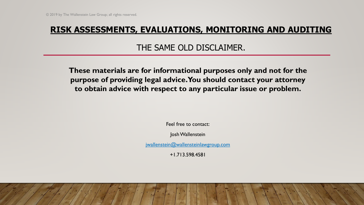THE SAME OLD DISCLAIMER.

**These materials are for informational purposes only and not for the purpose of providing legal advice. You should contact your attorney to obtain advice with respect to any particular issue or problem.**

Feel free to contact:

Josh Wallenstein

[jwallenstein@wallensteinlawgroup.com](mailto:jwallenstein@wallensteinlawgroup.com)

+1.713.598.4581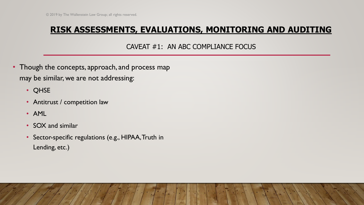CAVEAT #1: AN ABC COMPLIANCE FOCUS

- Though the concepts, approach, and process map may be similar, we are not addressing:
	- QHSE
	- Antitrust / competition law
	- AML
	- SOX and similar
	- Sector-specific regulations (e.g., HIPAA, Truth in Lending, etc.)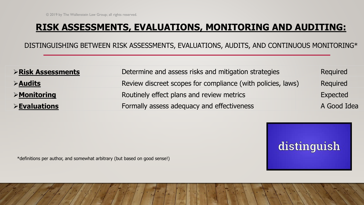DISTINGUISHING BETWEEN RISK ASSESSMENTS, EVALUATIONS, AUDITS, AND CONTINUOUS MONITORING\*

| <b>&gt;Risk Assessments</b>  | Determine and assess risks and mitigation strategies        | <b>Required</b> |
|------------------------------|-------------------------------------------------------------|-----------------|
| $\triangleright$ Audits      | Review discreet scopes for compliance (with policies, laws) | Required        |
| $\triangleright$ Monitoring  | Routinely effect plans and review metrics                   | Expected        |
| $\triangleright$ Evaluations | Formally assess adequacy and effectiveness                  | A Good Idea     |



\*definitions per author, and somewhat arbitrary (but based on good sense!)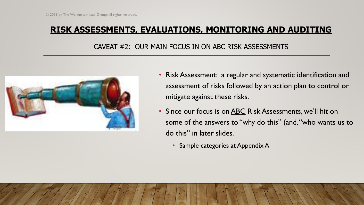#### CAVEAT #2: OUR MAIN FOCUS IN ON ABC RISK ASSESSMENTS



- Risk Assessment: a regular and systematic identification and assessment of risks followed by an action plan to control or mitigate against these risks.
- Since our focus is on **ABC** Risk Assessments, we'll hit on some of the answers to "why do this" (and, "who wants us to do this" in later slides.
	- Sample categories at Appendix A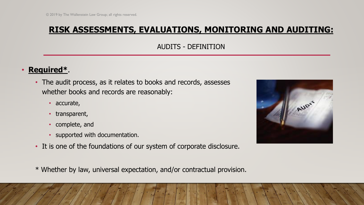AUDITS - DEFINITION

## • **Required\***.

- The audit process, as it relates to books and records, assesses whether books and records are reasonably:
	- accurate,
	- transparent,
	- complete, and
	- supported with documentation.
- It is one of the foundations of our system of corporate disclosure.
- \* Whether by law, universal expectation, and/or contractual provision.

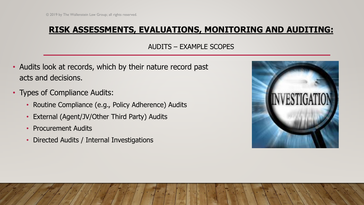## AUDITS – EXAMPLE SCOPES

- Audits look at records, which by their nature record past acts and decisions.
- Types of Compliance Audits:
	- Routine Compliance (e.g., Policy Adherence) Audits
	- External (Agent/JV/Other Third Party) Audits
	- Procurement Audits
	- Directed Audits / Internal Investigations

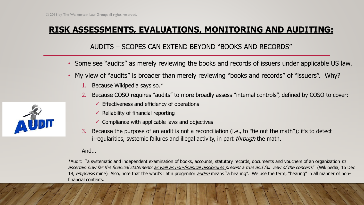## AUDITS – SCOPES CAN EXTEND BEYOND "BOOKS AND RECORDS"

- Some see "audits" as merely reviewing the books and records of issuers under applicable US law.
- My view of "audits" is broader than merely reviewing "books and records" of "issuers". Why?
	- 1. Because Wikipedia says so.\*
	- 2. Because COSO requires "audits" to more broadly assess "internal controls", defined by COSO to cover:
		- $\checkmark$  Effectiveness and efficiency of operations
		- $\checkmark$  Reliability of financial reporting
		- $\checkmark$  Compliance with applicable laws and objectives
	- 3. Because the purpose of an audit is not a reconciliation (i.e., to "tie out the math"); it's to detect irregularities, systemic failures and illegal activity, in part *through* the math.

#### And…

\*Audit: "a systematic and independent examination of books, accounts, statutory records, documents and vouchers of an organization to ascertain how far the financial statements as well as non-financial disclosures present a true and fair view of the concern." (Wikipedia, 16 Dec 18, emphasis mine) Also, note that the word's Latin progenitor *audire* means "a hearing". We use the term, "hearing" in all manner of nonfinancial contexts.

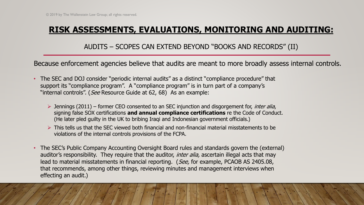AUDITS – SCOPES CAN EXTEND BEYOND "BOOKS AND RECORDS" (II)

Because enforcement agencies believe that audits are meant to more broadly assess internal controls.

- The SEC and DOJ consider "periodic internal audits" as a distinct "compliance procedure" that support its "compliance program". A "compliance program" is in turn part of a company's "internal controls". (See Resource Guide at 62, 68) As an example:
	- $\triangleright$  Jennings (2011) former CEO consented to an SEC injunction and disgorgement for, *inter alia*, signing false SOX certifications **and annual compliance certifications** re the Code of Conduct. (He later pled guilty in the UK to bribing Iraqi and Indonesian government officials.)
	- $\triangleright$  This tells us that the SEC viewed both financial and non-financial material misstatements to be violations of the internal controls provisions of the FCPA.
- The SEC's Public Company Accounting Oversight Board rules and standards govern the (external) auditor's responsibility. They require that the auditor, *inter alia*, ascertain illegal acts that may lead to material misstatements in financial reporting. (See, for example, PCAOB AS 2405.08, that recommends, among other things, reviewing minutes and management interviews when effecting an audit.)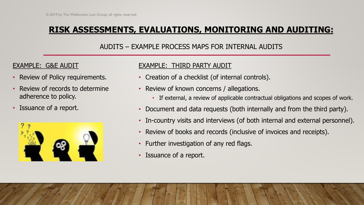## AUDITS – EXAMPLE PROCESS MAPS FOR INTERNAL AUDITS

## EXAMPLE: G&E AUDIT

- Review of Policy requirements.
- Review of records to determine adherence to policy.
- Issuance of a report.



## EXAMPLE: THIRD PARTY AUDIT

- Creation of a checklist (of internal controls).
- Review of known concerns / allegations.
	- If external, a review of applicable contractual obligations and scopes of work.
- Document and data requests (both internally and from the third party).
- In-country visits and interviews (of both internal and external personnel).
- Review of books and records (inclusive of invoices and receipts).
- Further investigation of any red flags.
- Issuance of a report.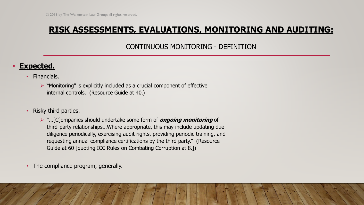CONTINUOUS MONITORING - DEFINITION

## • **Expected.**

- Financials.
	- $\triangleright$  "Monitoring" is explicitly included as a crucial component of effective internal controls. (Resource Guide at 40.)
- Risky third parties.
	- ➢ "…[C]ompanies should undertake some form of **ongoing monitoring** of third-party relationships…Where appropriate, this may include updating due diligence periodically, exercising audit rights, providing periodic training, and requesting annual compliance certifications by the third party." (Resource Guide at 60 [quoting ICC Rules on Combating Corruption at 8.])
- The compliance program, generally.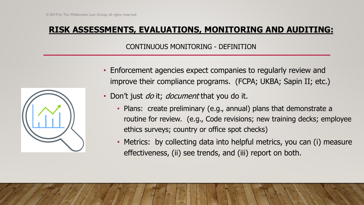#### CONTINUOUS MONITORING - DEFINITION



- Enforcement agencies expect companies to regularly review and improve their compliance programs. (FCPA; UKBA; Sapin II; etc.)
- Don't just *do* it; *document* that you do it.
	- Plans: create preliminary (e.g., annual) plans that demonstrate a routine for review. (e.g., Code revisions; new training decks; employee ethics surveys; country or office spot checks)
	- Metrics: by collecting data into helpful metrics, you can (i) measure effectiveness, (ii) see trends, and (iii) report on both.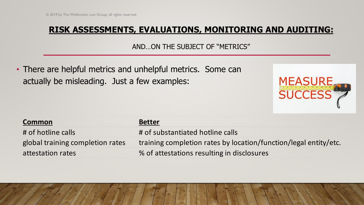AND…ON THE SUBJECT OF "METRICS"

• There are helpful metrics and unhelpful metrics. Some can actually be misleading. Just a few examples:



| <b>Common</b>                    | <b>Better</b>                                                    |
|----------------------------------|------------------------------------------------------------------|
| # of hotline calls               | # of substantiated hotline calls                                 |
| global training completion rates | training completion rates by location/function/legal entity/etc. |
| attestation rates                | % of attestations resulting in disclosures                       |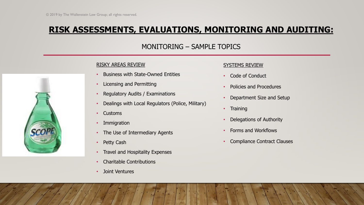#### MONITORING – SAMPLE TOPICS

#### RISKY AREAS REVIEW

- Business with State-Owned Entities
- Licensing and Permitting
- Regulatory Audits / Examinations
- Dealings with Local Regulators (Police, Military)
- Customs
- Immigration
- The Use of Intermediary Agents
- Petty Cash
- Travel and Hospitality Expenses
- Charitable Contributions
- Joint Ventures

#### SYSTEMS REVIEW

- Code of Conduct
- Policies and Procedures
- Department Size and Setup
- Training
- Delegations of Authority
- Forms and Workflows
- Compliance Contract Clauses

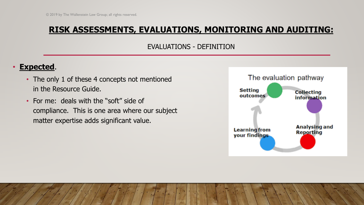#### EVALUATIONS - DEFINITION

## • **Expected**.

- The only 1 of these 4 concepts not mentioned in the Resource Guide.
- For me: deals with the "soft" side of compliance. This is one area where our subject matter expertise adds significant value.

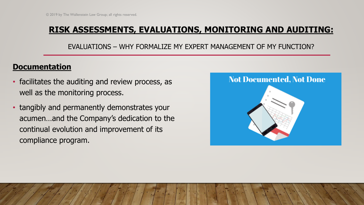EVALUATIONS – WHY FORMALIZE MY EXPERT MANAGEMENT OF MY FUNCTION?

## **Documentation**

- facilitates the auditing and review process, as well as the monitoring process.
- tangibly and permanently demonstrates your acumen…and the Company's dedication to the continual evolution and improvement of its compliance program.

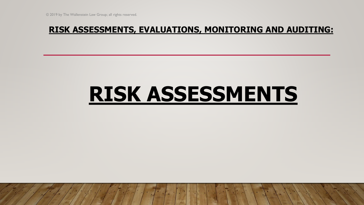# **RISK ASSESSMENTS**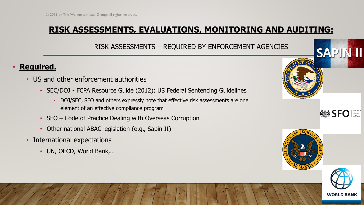RISK ASSESSMENTS – REQUIRED BY ENFORCEMENT AGENCIES

## • **Required.**

- US and other enforcement authorities
	- SEC/DOJ FCPA Resource Guide (2012); US Federal Sentencing Guidelines
		- DOJ/SEC, SFO and others expressly note that effective risk assessments are one element of an effective compliance program
	- SFO Code of Practice Dealing with Overseas Corruption
	- Other national ABAC legislation (e.g., Sapin II)
- International expectations
	- UN, OECD, World Bank,…





**SAPIN II**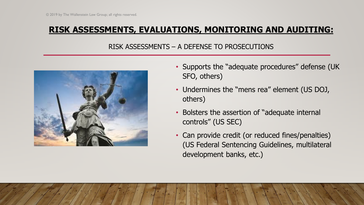### RISK ASSESSMENTS – A DEFENSE TO PROSECUTIONS



- Supports the "adequate procedures" defense (UK SFO, others)
- Undermines the "mens rea" element (US DOJ, others)
- Bolsters the assertion of "adequate internal controls" (US SEC)
- Can provide credit (or reduced fines/penalties) (US Federal Sentencing Guidelines, multilateral development banks, etc.)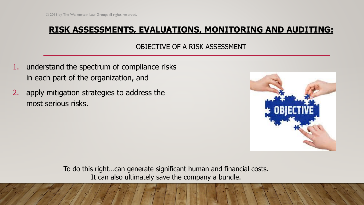#### OBJECTIVE OF A RISK ASSESSMENT

- 1. understand the spectrum of compliance risks in each part of the organization, and
- 2. apply mitigation strategies to address the most serious risks.



To do this right…can generate significant human and financial costs. It can also ultimately save the company a bundle.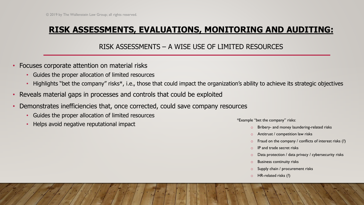#### RISK ASSESSMENTS – A WISE USE OF LIMITED RESOURCES

- Focuses corporate attention on material risks
	- Guides the proper allocation of limited resources
	- Highlights "bet the company" risks\*, i.e., those that could impact the organization's ability to achieve its strategic objectives
- Reveals material gaps in processes and controls that could be exploited
- Demonstrates inefficiencies that, once corrected, could save company resources
	- Guides the proper allocation of limited resources
	- Helps avoid negative reputational impact

\*Example "bet the company" risks:

- Bribery- and money laundering-related risks
- Antitrust / competition law risks
- $\circ$  Fraud on the company / conflicts of interest risks (?)
- IP and trade secret risks
- Data protection / data privacy / cybersecurity risks
- **Business continuity risks**
- Supply chain / procurement risks
- HR-related risks (?)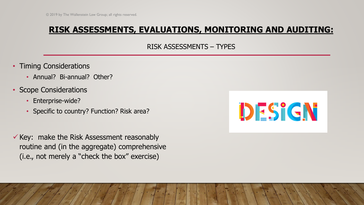RISK ASSESSMENTS – TYPES

- Timing Considerations
	- Annual? Bi-annual? Other?
- Scope Considerations
	- Enterprise-wide?
	- Specific to country? Function? Risk area?
- $\checkmark$  Key: make the Risk Assessment reasonably routine and (in the aggregate) comprehensive (i.e., not merely a "check the box" exercise)

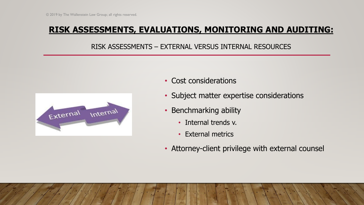#### RISK ASSESSMENTS – EXTERNAL VERSUS INTERNAL RESOURCES



- Cost considerations
- Subject matter expertise considerations
- Benchmarking ability
	- Internal trends v.
	- External metrics
- Attorney-client privilege with external counsel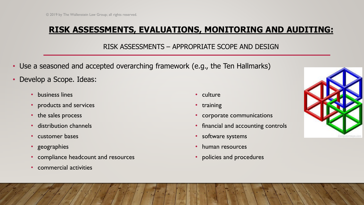#### RISK ASSESSMENTS – APPROPRIATE SCOPE AND DESIGN

- Use a seasoned and accepted overarching framework (e.g., the Ten Hallmarks)
- Develop a Scope. Ideas:
	- business lines
	- products and services
	- the sales process
	- distribution channels
	- customer bases
	- geographies
	- compliance headcount and resources
	- commercial activities
- culture
- training
- corporate communications
- financial and accounting controls
- software systems
- human resources
- policies and procedures

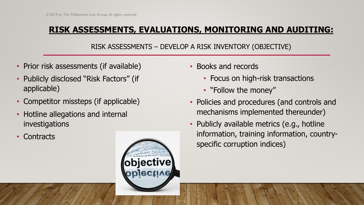## RISK ASSESSMENTS – DEVELOP A RISK INVENTORY (OBJECTIVE)

- Prior risk assessments (if available)
- Publicly disclosed "Risk Factors" (if applicable)
- Competitor missteps (if applicable)
- Hotline allegations and internal investigations
- Contracts



- Books and records
	- Focus on high-risk transactions
	- "Follow the money"
- Policies and procedures (and controls and mechanisms implemented thereunder)
- Publicly available metrics (e.g., hotline information, training information, countryspecific corruption indices)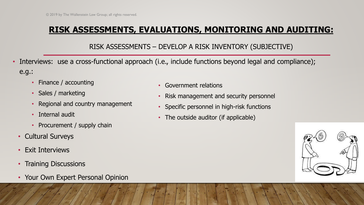## RISK ASSESSMENTS – DEVELOP A RISK INVENTORY (SUBJECTIVE)

- Interviews: use a cross-functional approach (i.e., include functions beyond legal and compliance); e.g.:
	- Finance / accounting
	- Sales / marketing
	- Regional and country management
	- Internal audit
	- Procurement / supply chain
	- Cultural Surveys
	- Exit Interviews
	- Training Discussions
	- Your Own Expert Personal Opinion
- Government relations
- Risk management and security personnel
- Specific personnel in high-risk functions
- The outside auditor (if applicable)

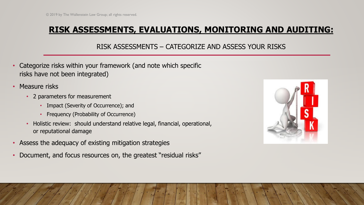#### RISK ASSESSMENTS – CATEGORIZE AND ASSESS YOUR RISKS

- Categorize risks within your framework (and note which specific risks have not been integrated)
- Measure risks
	- 2 parameters for measurement
		- Impact (Severity of Occurrence); and
		- Frequency (Probability of Occurrence)
	- Holistic review: should understand relative legal, financial, operational, or reputational damage
- Assess the adequacy of existing mitigation strategies
- Document, and focus resources on, the greatest "residual risks"

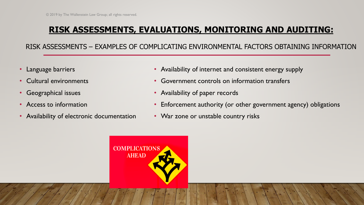RISK ASSESSMENTS – EXAMPLES OF COMPLICATING ENVIRONMENTAL FACTORS OBTAINING INFORMATION

- Language barriers
- Cultural environments
- Geographical issues
- Access to information
- Availability of electronic documentation
- Availability of internet and consistent energy supply
- Government controls on information transfers
- Availability of paper records
- Enforcement authority (or other government agency) obligations
- War zone or unstable country risks

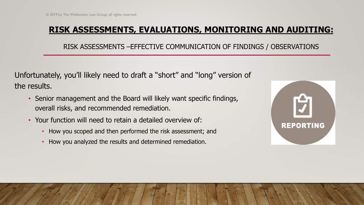RISK ASSESSMENTS –EFFECTIVE COMMUNICATION OF FINDINGS / OBSERVATIONS

Unfortunately, you'll likely need to draft a "short" and "long" version of the results.

- Senior management and the Board will likely want specific findings, overall risks, and recommended remediation.
- Your function will need to retain a detailed overview of:
	- How you scoped and then performed the risk assessment; and
	- How you analyzed the results and determined remediation.

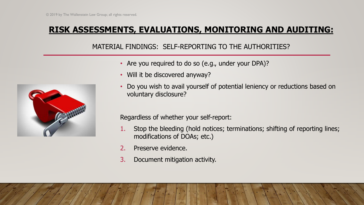MATERIAL FINDINGS: SELF-REPORTING TO THE AUTHORITIES?



- Are you required to do so (e.g., under your DPA)?
- Will it be discovered anyway?
- Do you wish to avail yourself of potential leniency or reductions based on voluntary disclosure?

Regardless of whether your self-report:

- 1. Stop the bleeding (hold notices; terminations; shifting of reporting lines; modifications of DOAs; etc.)
- 2. Preserve evidence.
- 3. Document mitigation activity.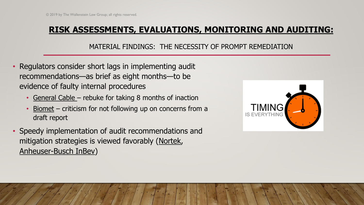#### MATERIAL FINDINGS: THE NECESSITY OF PROMPT REMEDIATION

- Regulators consider short lags in implementing audit recommendations—as brief as eight months—to be evidence of faulty internal procedures
	- General Cable rebuke for taking 8 months of inaction
	- Biomet  $-$  criticism for not following up on concerns from a draft report
- Speedy implementation of audit recommendations and mitigation strategies is viewed favorably (Nortek, Anheuser-Busch InBev)

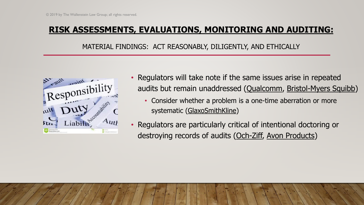MATERIAL FINDINGS: ACT REASONABLY, DILIGENTLY, AND ETHICALLY



- Regulators will take note if the same issues arise in repeated audits but remain unaddressed (Qualcomm, Bristol-Myers Squibb)
	- Consider whether a problem is a one-time aberration or more systematic (GlaxoSmithKline)
- Regulators are particularly critical of intentional doctoring or destroying records of audits (Och-Ziff, Avon Products)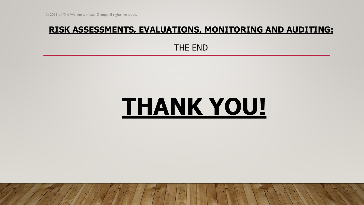THE END

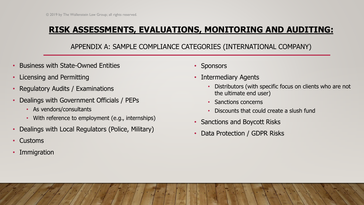## APPENDIX A: SAMPLE COMPLIANCE CATEGORIES (INTERNATIONAL COMPANY)

- Business with State-Owned Entities
- Licensing and Permitting
- Regulatory Audits / Examinations
- Dealings with Government Officials / PEPs
	- As vendors/consultants
	- With reference to employment (e.g., internships)
- Dealings with Local Regulators (Police, Military)
- Customs
- **Immigration**
- **Sponsors**
- Intermediary Agents
	- Distributors (with specific focus on clients who are not the ultimate end user)
	- Sanctions concerns
	- Discounts that could create a slush fund
- Sanctions and Boycott Risks
- Data Protection / GDPR Risks